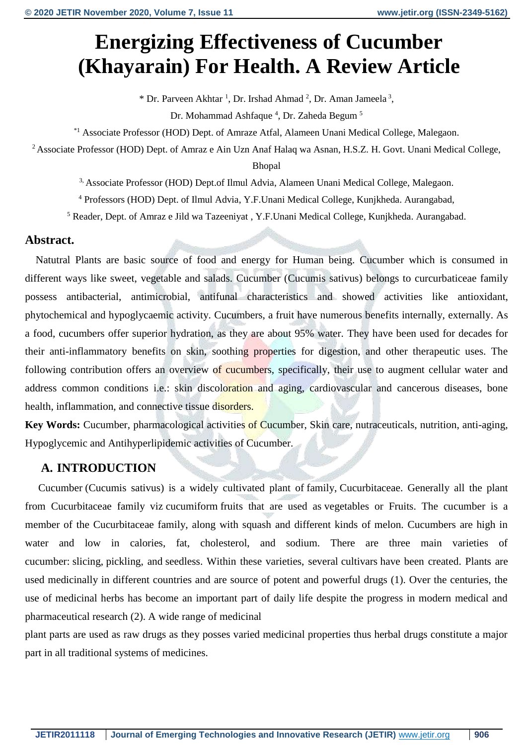# **Energizing Effectiveness of Cucumber (Khayarain) For Health. A Review Article**

 $*$  Dr. Parveen Akhtar<sup>1</sup>, Dr. Irshad Ahmad<sup>2</sup>, Dr. Aman Jameela<sup>3</sup>,

Dr. Mohammad Ashfaque <sup>4</sup>, Dr. Zaheda Begum <sup>5</sup>

\*1 Associate Professor (HOD) Dept. of Amraze Atfal, Alameen Unani Medical College, Malegaon.

<sup>2</sup> Associate Professor (HOD) Dept. of Amraz e Ain Uzn Anaf Halaq wa Asnan, H.S.Z. H. Govt. Unani Medical College,

Bhopal

3, Associate Professor (HOD) Dept.of Ilmul Advia, Alameen Unani Medical College, Malegaon.

<sup>4</sup> Professors (HOD) Dept. of Ilmul Advia, Y.F.Unani Medical College, Kunjkheda. Aurangabad,

<sup>5</sup> Reader, Dept. of Amraz e Jild wa Tazeeniyat , Y.F.Unani Medical College, Kunjkheda. Aurangabad.

#### **Abstract.**

Natutral Plants are basic source of food and energy for Human being. Cucumber which is consumed in different ways like sweet, vegetable and salads. Cucumber (Cucumis sativus) belongs to curcurbaticeae family possess antibacterial, antimicrobial, antifunal characteristics and showed activities like antioxidant, phytochemical and hypoglycaemic activity. Cucumbers, a fruit have numerous benefits internally, externally. As a food, cucumbers offer superior hydration, as they are about 95% water. They have been used for decades for their anti-inflammatory benefits on skin, soothing properties for digestion, and other therapeutic uses. The following contribution offers an overview of cucumbers, specifically, their use to augment cellular water and address common conditions i.e.: skin discoloration and aging, cardiovascular and cancerous diseases, bone health, inflammation, and connective tissue disorders.

**Key Words:** Cucumber, pharmacological activities of Cucumber, Skin care, nutraceuticals, nutrition, anti-aging, Hypoglycemic and Antihyperlipidemic activities of Cucumber.

#### **A. INTRODUCTION**

 Cucumber (Cucumis sativus) is a widely cultivated plant of family, [Cucurbitaceae.](https://en.wikipedia.org/wiki/Cucurbitaceae) Generally all the plant from Cucurbitaceae family viz [cucumiform](https://en.wiktionary.org/wiki/Special:Search/cucumiform) fruits that are used as [vegetables](https://en.wikipedia.org/wiki/Vegetable) or Fruits. The cucumber is a member of the Cucurbitaceae family, along with squash and different kinds of melon. Cucumbers are high in water and low in calories, fat, cholesterol, and sodium. There are three main varieties of cucumber: slicing, [pickling,](https://en.wikipedia.org/wiki/Pickled_cucumber) and seedless. Within these varieties, several [cultivars](https://en.wikipedia.org/wiki/Cultivar) have been created. Plants are used medicinally in different countries and are source of potent and powerful drugs (1). Over the centuries, the use of medicinal herbs has become an important part of daily life despite the progress in modern medical and pharmaceutical research (2). A wide range of medicinal

plant parts are used as raw drugs as they posses varied medicinal properties thus herbal drugs constitute a major part in all traditional systems of medicines.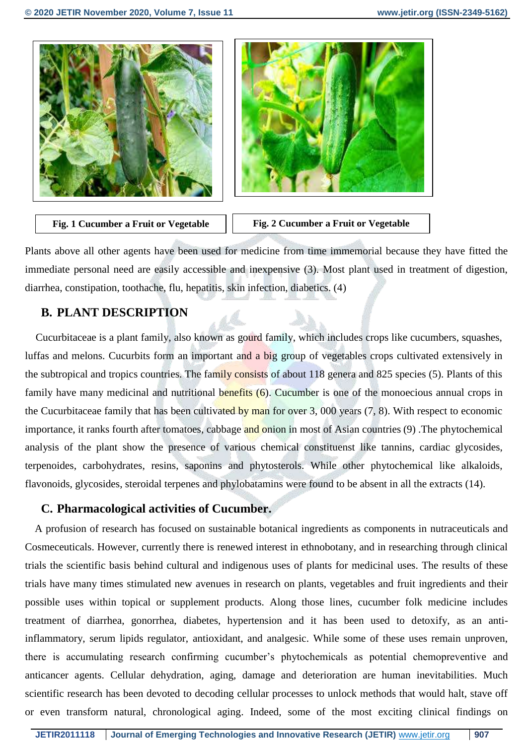





Plants above all other agents have been used for medicine from time immemorial because they have fitted the immediate personal need are easily accessible and inexpensive (3). Most plant used in treatment of digestion, diarrhea, constipation, toothache, flu, hepatitis, skin infection, diabetics. (4)

#### **B. PLANT DESCRIPTION**

 Cucurbitaceae is a plant family, also known as gourd family, which includes crops like cucumbers, squashes, luffas and melons. Cucurbits form an important and a big group of vegetables crops cultivated extensively in the subtropical and tropics countries. The family consists of about 118 genera and 825 species (5). Plants of this family have many medicinal and nutritional benefits (6). Cucumber is one of the monoecious annual crops in the Cucurbitaceae family that has been cultivated by man for over  $3$ , 000 years  $(7, 8)$ . With respect to economic importance, it ranks fourth after tomatoes, cabbage and onion in most of Asian countries (9). The phytochemical analysis of the plant show the presence of various chemical constituenst like tannins, cardiac glycosides, terpenoides, carbohydrates, resins, saponins and phytosterols. While other phytochemical like alkaloids, flavonoids, glycosides, steroidal terpenes and phylobatamins were found to be absent in all the extracts (14).

#### **C. Pharmacological activities of Cucumber.**

A profusion of research has focused on sustainable botanical ingredients as components in nutraceuticals and Cosmeceuticals. However, currently there is renewed interest in ethnobotany, and in researching through clinical trials the scientific basis behind cultural and indigenous uses of plants for medicinal uses. The results of these trials have many times stimulated new avenues in research on plants, vegetables and fruit ingredients and their possible uses within topical or supplement products. Along those lines, cucumber folk medicine includes treatment of diarrhea, gonorrhea, diabetes, hypertension and it has been used to detoxify, as an antiinflammatory, serum lipids regulator, antioxidant, and analgesic. While some of these uses remain unproven, there is accumulating research confirming cucumber's phytochemicals as potential chemopreventive and anticancer agents. Cellular dehydration, aging, damage and deterioration are human inevitabilities. Much scientific research has been devoted to decoding cellular processes to unlock methods that would halt, stave off or even transform natural, chronological aging. Indeed, some of the most exciting clinical findings on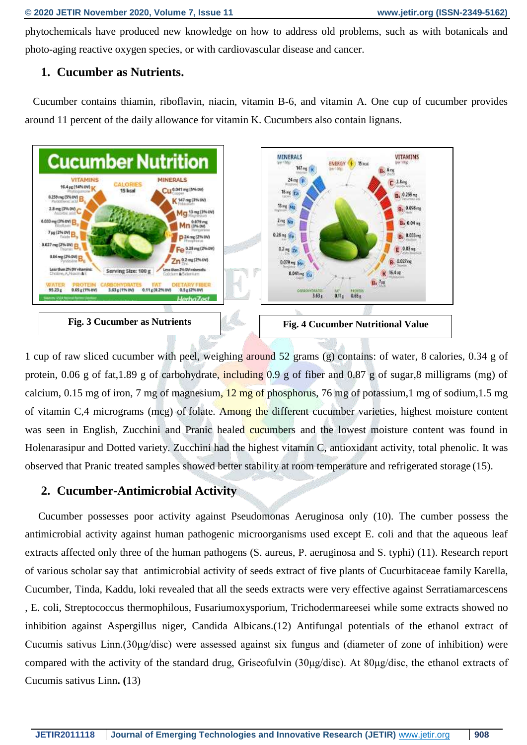phytochemicals have produced new knowledge on how to address old problems, such as with botanicals and photo-aging reactive oxygen species, or with cardiovascular disease and cancer.

#### **1. Cucumber as Nutrients.**

 Cucumber contains thiamin, riboflavin, niacin, vitamin B-6, and vitamin A. One cup of cucumber provides around 11 percent of the daily allowance for vitamin K. Cucumbers also contain lignans.



1 cup of raw sliced cucumber with peel, weighing around 52 grams (g) [contains:](https://ndb.nal.usda.gov/ndb/foods/show/2958) of water, 8 [calories,](https://www.medicalnewstoday.com/articles/245588.php) 0.34 g of protein, 0.06 g of fat, 1.89 g of carbohydrate, including 0.9 g of fiber and 0.87 g of sugar, 8 milligrams (mg) of calcium, 0.15 mg of iron, 7 mg of magnesium,  $12 \text{ mg of phosphorus}$ , 76 mg of potassium, 1 mg of sodium, 1.5 mg of vitamin C,4 micrograms (mcg) of [folate.](https://www.medicalnewstoday.com/articles/287677.php) Among the different cucumber varieties, highest moisture content was seen in English, Zucchini and Pranic healed cucumbers and the lowest moisture content was found in Holenarasipur and Dotted variety. Zucchini had the highest vitamin C, antioxidant activity, total phenolic. It was observed that Pranic treated samples showed better stability at room temperature and refrigerated storage (15).

## **2. Cucumber-Antimicrobial Activity**

Cucumber possesses poor activity against Pseudomonas Aeruginosa only (10). The cumber possess the antimicrobial activity against human pathogenic microorganisms used except E. coli and that the aqueous leaf extracts affected only three of the human pathogens (S. aureus, P. aeruginosa and S. typhi) (11). Research report of various scholar say that antimicrobial activity of seeds extract of five plants of Cucurbitaceae family Karella, Cucumber, Tinda, Kaddu, loki revealed that all the seeds extracts were very effective against Serratiamarcescens , E. coli, Streptococcus thermophilous, Fusariumoxysporium, Trichodermareesei while some extracts showed no inhibition against Aspergillus niger, Candida Albicans.(12) Antifungal potentials of the ethanol extract of Cucumis sativus Linn.(30μg/disc) were assessed against six fungus and (diameter of zone of inhibition) were compared with the activity of the standard drug, Griseofulvin (30μg/disc). At 80μg/disc, the ethanol extracts of Cucumis sativus Linn**. (**13)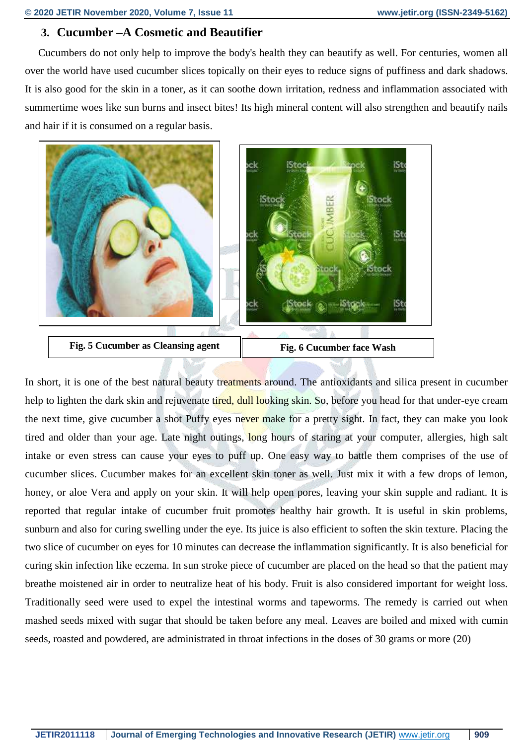### **3. Cucumber –A Cosmetic and Beautifier**

 Cucumbers do not only help to improve the body's health they can beautify as well. For centuries, women all over the world have used cucumber slices topically on their eyes to reduce signs of puffiness and dark shadows. It is also good for the skin in a toner, as it can soothe down irritation, redness and inflammation associated with summertime woes like sun burns and insect bites! Its high mineral content will also strengthen and beautify nails and hair if it is consumed on a regular basis.



**Fig. 5 Cucumber as Cleansing agent Fig. 6 Cucumber face Wash**

In short, it is one of the best natural beauty treatments around. The antioxidants and silica present in cucumber help to lighten the dark skin and rejuvenate tired, dull looking skin. So, before you head for that under-eye cream the next time, give cucumber a shot Puffy eyes never make for a pretty sight. In fact, they can make you look tired and older than your age. Late night outings, long hours of staring at your computer, allergies, high salt intake or even stress can cause your eyes to puff up. One easy way to battle them comprises of the use of cucumber slices. Cucumber makes for an excellent skin toner as well. Just mix it with a few drops of lemon, honey, or aloe Vera and apply on your skin. It will help open pores, leaving your skin supple and radiant. It is reported that regular intake of cucumber fruit promotes healthy hair growth. It is useful in skin problems, sunburn and also for curing swelling under the eye. Its juice is also efficient to soften the skin texture. Placing the two slice of cucumber on eyes for 10 minutes can decrease the inflammation significantly. It is also beneficial for curing skin infection like eczema. In sun stroke piece of cucumber are placed on the head so that the patient may breathe moistened air in order to neutralize heat of his body. Fruit is also considered important for weight loss. Traditionally seed were used to expel the intestinal worms and tapeworms. The remedy is carried out when mashed seeds mixed with sugar that should be taken before any meal. Leaves are boiled and mixed with cumin seeds, roasted and powdered, are administrated in throat infections in the doses of 30 grams or more (20)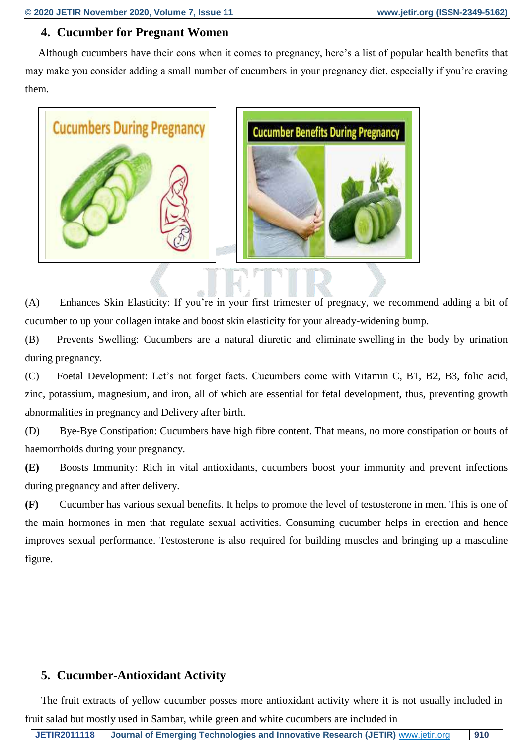# **4. Cucumber for Pregnant Women**

 Although cucumbers have their cons when it comes to pregnancy, here's a list of popular health benefits that may make you consider adding a small number of cucumbers in your pregnancy diet, especially if you're craving them.



(A) Enhances Skin Elasticity: If you're in your first trimester of pregnacy, we recommend adding a bit of cucumber to up your collagen intake and boost skin elasticity for your already-widening bump.

(B) Prevents Swelling: Cucumbers are a natural diuretic and eliminate [swelling](https://parenting.firstcry.com/articles/swelling-during-pregnancy/?ref=interlink) in the body by urination during pregnancy.

(C) Foetal Development: Let's not forget facts. Cucumbers come with [Vitamin C,](https://parenting.firstcry.com/articles/vitamin-c-in-pregnancy-importance-side-effects-more/?ref=interlink) B1, B2, B3, folic acid, zinc, potassium, magnesium, and iron, all of which are essential for fetal development, thus, preventing growth abnormalities in pregnancy and Delivery after birth.

(D) Bye-Bye Constipation: Cucumbers have high fibre content. That means, no more constipation or bouts of [haemorrhoids during your pregnancy.](https://parenting.firstcry.com/articles/haemorrhoids-piles-during-pregnancy-causes-symptoms-and-remedies/?ref=interlink)

**(E)** Boosts Immunity: Rich in vital antioxidants, cucumbers boost your immunity and prevent infections during pregnancy and after delivery.

**(F)** Cucumber has various sexual benefits. It helps to promote the level of testosterone in men. This is one of the main hormones in men that regulate sexual activities. Consuming cucumber helps in erection and hence improves sexual performance. Testosterone is also required for building muscles and bringing up a masculine figure.

# **5. Cucumber-Antioxidant Activity**

 The fruit extracts of yellow cucumber posses more antioxidant activity where it is not usually included in fruit salad but mostly used in Sambar, while green and white cucumbers are included in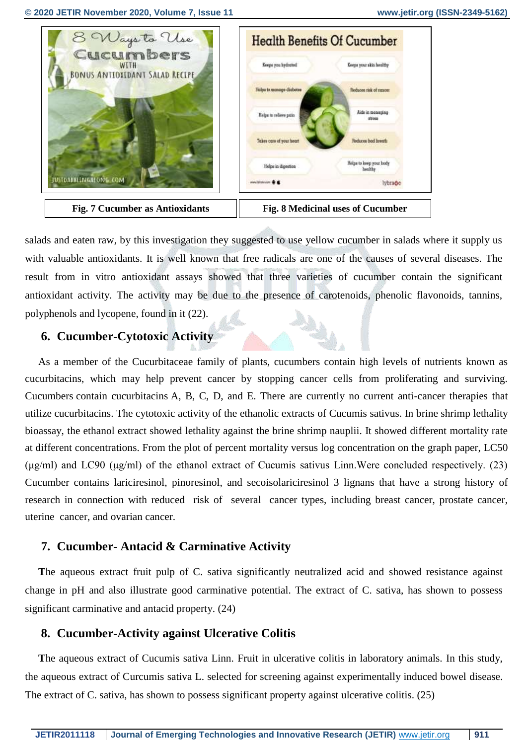

salads and eaten raw, by this investigation they suggested to use yellow cucumber in salads where it supply us with valuable antioxidants. It is well known that free radicals are one of the causes of several diseases. The result from in vitro antioxidant assays showed that three varieties of cucumber contain the significant antioxidant activity. The activity may be due to the presence of carotenoids, phenolic flavonoids, tannins, polyphenols and lycopene, found in it (22).

#### **6. Cucumber-Cytotoxic Activity**

 As a member of the Cucurbitaceae family of plants, cucumbers contain high levels of nutrients known as cucurbitacins, which may help prevent cancer by stopping cancer cells from proliferating and surviving. Cucumbers [contain cucurbitacins](http://www.whfoods.com/genpage.php?tname=foodspice&dbid=42) A, B, C, D, and E. There are currently no current anti-cancer therapies that utilize cucurbitacins. The cytotoxic activity of the ethanolic extracts of Cucumis sativus. In brine shrimp lethality bioassay, the ethanol extract showed lethality against the brine shrimp nauplii. It showed different mortality rate at different concentrations. From the plot of percent mortality versus log concentration on the graph paper, LC50 (μg/ml) and LC90 (μg/ml) of the ethanol extract of Cucumis sativus Linn.Were concluded respectively. (23) Cucumber contains lariciresinol, pinoresinol, and secoisolariciresinol 3 lignans that have a strong history of research in connection with reduced risk of several cancer types, including breast cancer, prostate cancer, uterine cancer, and ovarian cancer.

#### **7. Cucumber**- **Antacid & Carminative Activity**

 **T**he aqueous extract fruit pulp of C. sativa significantly neutralized acid and showed resistance against change in pH and also illustrate good carminative potential. The extract of C. sativa, has shown to possess significant carminative and antacid property. (24)

#### **8. Cucumber-Activity against Ulcerative Colitis**

 **T**he aqueous extract of Cucumis sativa Linn. Fruit in ulcerative colitis in laboratory animals. In this study, the aqueous extract of Curcumis sativa L. selected for screening against experimentally induced bowel disease. The extract of C. sativa, has shown to possess significant property against ulcerative colitis. (25)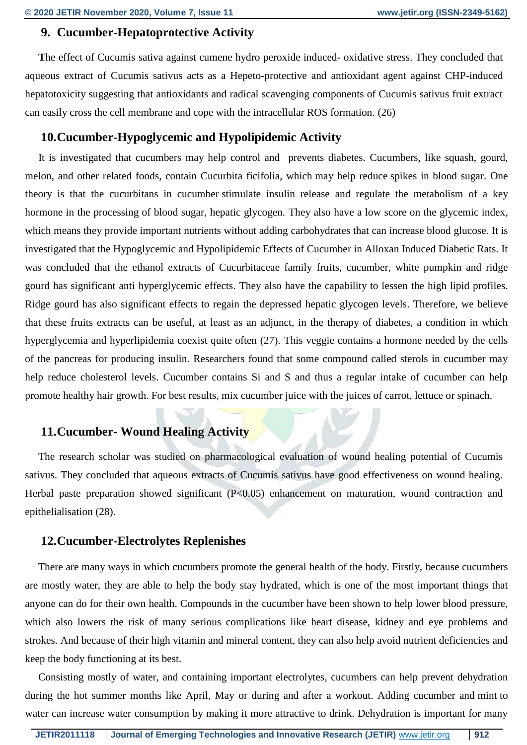### **9. Cucumber-Hepatoprotective Activity**

 **T**he effect of Cucumis sativa against cumene hydro peroxide induced- oxidative stress. They concluded that aqueous extract of Cucumis sativus acts as a Hepeto-protective and antioxidant agent against CHP-induced hepatotoxicity suggesting that antioxidants and radical scavenging components of Cucumis sativus fruit extract can easily cross the cell membrane and cope with the intracellular ROS formation. (26)

## **10.Cucumber-Hypoglycemic and Hypolipidemic Activity**

 It is investigated that cucumbers may help control and prevents diabetes. Cucumbers, like squash, gourd, melon, and other related foods, contain Cucurbita ficifolia, which [may help reduce](https://www.ncbi.nlm.nih.gov/pubmed/8569244) spikes in blood sugar. One theory is that the cucurbitans in cucumber [stimulate](https://www.ncbi.nlm.nih.gov/pmc/articles/PMC4441156/) insulin release and regulate the metabolism of a key hormone in the processing of blood sugar, hepatic glycogen. They also have a low score on the glycemic index, which means they provide important nutrients without adding [carbohydrates](https://www.medicalnewstoday.com/articles/161547.php) that can increase blood glucose. It is investigated that the Hypoglycemic and Hypolipidemic Effects of Cucumber in Alloxan Induced Diabetic Rats. It was concluded that the ethanol extracts of Cucurbitaceae family fruits, cucumber, white pumpkin and ridge gourd has significant anti hyperglycemic effects. They also have the capability to lessen the high lipid profiles. Ridge gourd has also significant effects to regain the depressed hepatic glycogen levels. Therefore, we believe that these fruits extracts can be useful, at least as an adjunct, in the therapy of diabetes, a condition in which hyperglycemia and hyperlipidemia coexist quite often (27). This veggie contains a hormone needed by the cells of the pancreas for producing insulin. Researchers found that some compound called sterols in cucumber may help reduce cholesterol levels. Cucumber contains Si and S and thus a regular intake of cucumber can help promote healthy hair growth. For best results, mix cucumber juice with the juices of carrot, lettuce or spinach.

## **11.Cucumber- Wound Healing Activity**

 The research scholar was studied on pharmacological evaluation of wound healing potential of Cucumis sativus. They concluded that aqueous extracts of Cucumis sativus have good effectiveness on wound healing. Herbal paste preparation showed significant (P<0.05) enhancement on maturation, wound contraction and epithelialisation (28).

## **12.Cucumber-Electrolytes Replenishes**

 There are many ways in which cucumbers promote the general health of the body. Firstly, because cucumbers are mostly water, they are able to help the body stay hydrated, which is one of the most important things that anyone can do for their own health. Compounds in the cucumber have been shown to help lower blood pressure, which also lowers the risk of many serious complications like heart disease, kidney and eye problems and strokes. And because of their high vitamin and mineral content, they can also help avoid nutrient deficiencies and keep the body functioning at its best.

 Consisting mostly of water, and containing important electrolytes, cucumbers can help prevent dehydration during the hot summer months like April, May or during and after a workout. Adding cucumber and [mint](https://www.medicalnewstoday.com/articles/275944.php) to water can increase water consumption by making it more attractive to drink. Dehydration is important for many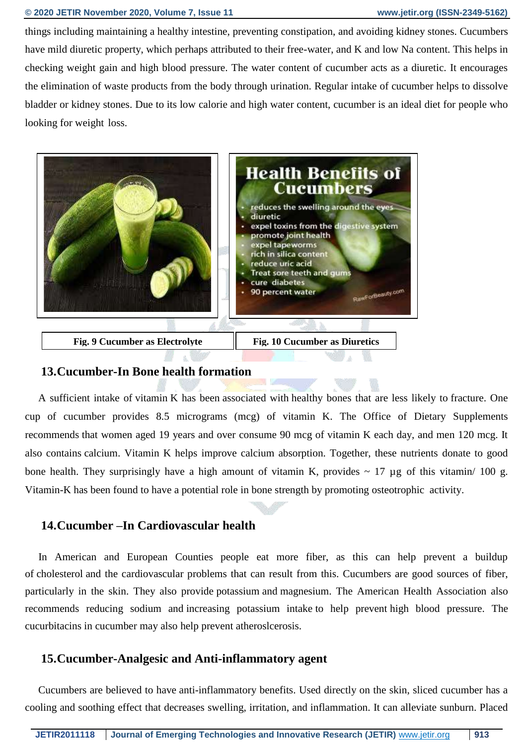#### **© 2020 JETIR November 2020, Volume 7, Issue 11 www.jetir.org (ISSN-2349-5162)**

things including maintaining a healthy intestine, preventing [constipation,](https://www.medicalnewstoday.com/articles/150322.php) and avoiding [kidney stones.](https://www.medicalnewstoday.com/articles/154193.php) Cucumbers have mild diuretic property, which perhaps attributed to their free-water, and K and low Na content. This helps in checking weight gain and high blood pressure. The water content of cucumber acts as a diuretic. It encourages the elimination of waste products from the body through urination. Regular intake of cucumber helps to dissolve bladder or kidney stones. Due to its low calorie and high water content, cucumber is an ideal diet for people who looking for weight loss.



#### **13.Cucumber-In Bone health formation**

 A sufficient intake of [vitamin](https://www.medicalnewstoday.com/articles/195878.php) K has been [associated with](https://www.ncbi.nlm.nih.gov/pubmed/17906277) healthy bones that are less likely to [fracture.](https://www.medicalnewstoday.com/articles/173312.php) One cup of cucumber provides 8.5 micrograms (mcg) of vitamin K. The Office of Dietary Supplements [recommends](https://ods.od.nih.gov/factsheets/VitaminK-HealthProfessional/) that women aged 19 years and over consume 90 mcg of vitamin K each day, and men 120 mcg. It also contains [calcium.](https://www.medicalnewstoday.com/articles/248958.php) Vitamin K helps improve calcium absorption. Together, these nutrients donate to good bone health. They surprisingly have a high amount of vitamin K, provides  $\sim 17 \mu$ g of this vitamin/ 100 g. Vitamin-K has been found to have a potential role in bone strength by promoting osteotrophic activity.

#### **14.Cucumber –In Cardiovascular health**

 In American and European Counties people eat more fiber, as this can help prevent a buildup of [cholesterol](https://www.medicalnewstoday.com/articles/9152.php) and the cardiovascular problems that can result from this. Cucumbers are good sources of fiber, particularly in the skin. They also provide [potassium](https://www.medicalnewstoday.com/articles/287212.php) and [magnesium.](https://www.medicalnewstoday.com/articles/286839.php) The American Health Association also recommends reducing sodium and [increasing potassium intake](http://www.heart.org/HEARTORG/Conditions/HighBloodPressure/MakeChangesThatMatter/How-Potassium-Can-Help-Control-High-Blood-Pressure_UCM_303243_Article.jsp#.WeoQihNSz_R) to help prevent [high blood pressure.](https://www.medicalnewstoday.com/articles/159283.php) The cucurbitacins in cucumber may also [help prevent](https://www.ncbi.nlm.nih.gov/pmc/articles/PMC4441156/) atheroslcerosis.

#### **15.Cucumber-Analgesic and Anti-inflammatory agent**

 Cucumbers are believed to have [anti-inflammatory benefits.](https://www.ncbi.nlm.nih.gov/pmc/articles/PMC4441156/) Used directly on the skin, sliced cucumber has a cooling and soothing effect that decreases swelling, irritation, and [inflammation.](https://www.medicalnewstoday.com/articles/248423.php) It can alleviate sunburn. Placed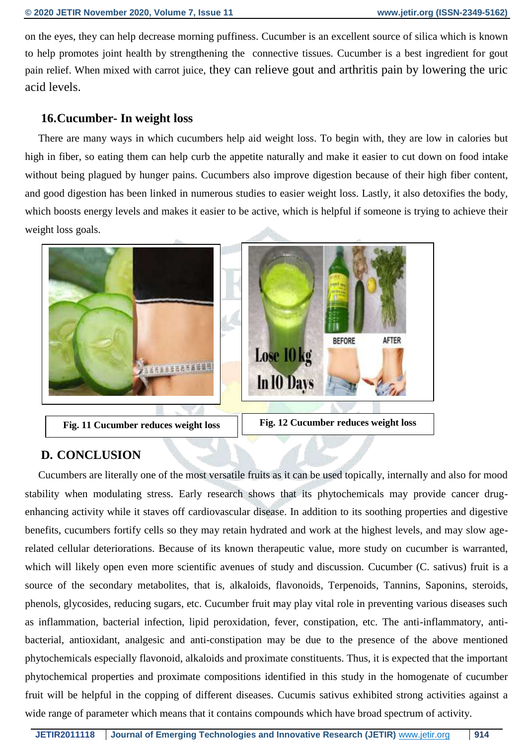on the eyes, they can help decrease morning puffiness. Cucumber is an excellent source of silica which is known to help promotes joint health by strengthening the connective tissues. Cucumber is a best ingredient for gout pain relief. When mixed with carrot juice, they can relieve gout and arthritis pain by lowering the uric acid levels.

#### **16.Cucumber- In weight loss**

 There are many ways in which cucumbers help aid weight loss. To begin with, they are low in calories but high in fiber, so eating them can help curb the appetite naturally and make it easier to cut down on food intake without being plagued by hunger pains. Cucumbers also improve digestion because of their high fiber content, and good digestion has been linked in numerous studies to easier weight loss. Lastly, it also detoxifies the body, which boosts energy levels and makes it easier to be active, which is helpful if someone is trying to achieve their weight loss goals.



#### **D. CONCLUSION**

 Cucumbers are literally one of the most versatile fruits as it can be used topically, internally and also for mood stability when modulating stress. Early research shows that its phytochemicals may provide cancer drugenhancing activity while it staves off cardiovascular disease. In addition to its soothing properties and digestive benefits, cucumbers fortify cells so they may retain hydrated and work at the highest levels, and may slow agerelated cellular deteriorations. Because of its known therapeutic value, more study on cucumber is warranted, which will likely open even more scientific avenues of study and discussion. Cucumber (C. sativus) fruit is a source of the secondary metabolites, that is, alkaloids, flavonoids, Terpenoids, Tannins, Saponins, steroids, phenols, glycosides, reducing sugars, etc. Cucumber fruit may play vital role in preventing various diseases such as inflammation, bacterial infection, lipid peroxidation, fever, constipation, etc. The anti-inflammatory, antibacterial, antioxidant, analgesic and anti-constipation may be due to the presence of the above mentioned phytochemicals especially flavonoid, alkaloids and proximate constituents. Thus, it is expected that the important phytochemical properties and proximate compositions identified in this study in the homogenate of cucumber fruit will be helpful in the copping of different diseases. Cucumis sativus exhibited strong activities against a wide range of parameter which means that it contains compounds which have broad spectrum of activity.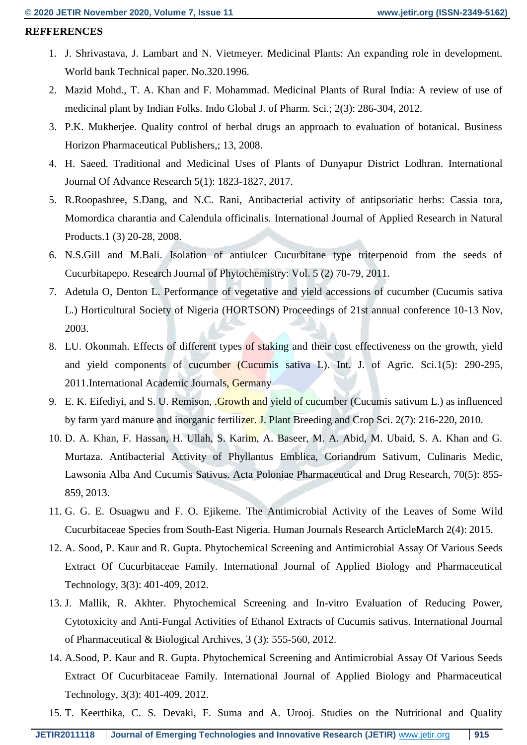#### **REFFERENCES**

- 1. J. Shrivastava, J. Lambart and N. Vietmeyer. Medicinal Plants: An expanding role in development. World bank Technical paper. No.320.1996.
- 2. Mazid Mohd., T. A. Khan and F. Mohammad. Medicinal Plants of Rural India: A review of use of medicinal plant by Indian Folks. Indo Global J. of Pharm. Sci.; 2(3): 286-304, 2012.
- 3. P.K. Mukherjee. Quality control of herbal drugs an approach to evaluation of botanical. Business Horizon Pharmaceutical Publishers,; 13, 2008.
- 4. H. Saeed. Traditional and Medicinal Uses of Plants of Dunyapur District Lodhran. International Journal Of Advance Research 5(1): 1823-1827, 2017.
- 5. R.Roopashree, S.Dang, and N.C. Rani, Antibacterial activity of antipsoriatic herbs: Cassia tora, Momordica charantia and Calendula officinalis. International Journal of Applied Research in Natural Products.1 (3) 20-28, 2008.
- 6. N.S.Gill and M.Bali. Isolation of antiulcer Cucurbitane type triterpenoid from the seeds of Cucurbitapepo. Research Journal of Phytochemistry: Vol. 5 (2) 70-79, 2011.
- 7. Adetula O, Denton L. Performance of vegetative and yield accessions of cucumber (Cucumis sativa L.) Horticultural Society of Nigeria (HORTSON) Proceedings of 21st annual conference 10-13 Nov, 2003.
- 8. LU. Okonmah. Effects of different types of staking and their cost effectiveness on the growth, yield and yield components of cucumber (Cucumis sativa L). Int. J. of Agric. Sci.1(5): 290-295, 2011.International Academic Journals, Germany
- 9. E. K. Eifediyi, and S. U. Remison, Growth and yield of cucumber (Cucumis sativum L.) as influenced by farm yard manure and inorganic fertilizer. J. Plant Breeding and Crop Sci. 2(7): 216-220, 2010.
- 10. D. A. Khan, F. Hassan, H. Ullah, S. Karim, A. Baseer, M. A. Abid, M. Ubaid, S. A. Khan and G. Murtaza. Antibacterial Activity of Phyllantus Emblica, Coriandrum Sativum, Culinaris Medic, Lawsonia Alba And Cucumis Sativus. Acta Poloniae Pharmaceutical and Drug Research, 70(5): 855- 859, 2013.
- 11. G. G. E. Osuagwu and F. O. Ejikeme. The Antimicrobial Activity of the Leaves of Some Wild Cucurbitaceae Species from South-East Nigeria. Human Journals Research ArticleMarch 2(4): 2015.
- 12. A. Sood, P. Kaur and R. Gupta. Phytochemical Screening and Antimicrobial Assay Of Various Seeds Extract Of Cucurbitaceae Family. International Journal of Applied Biology and Pharmaceutical Technology, 3(3): 401-409, 2012.
- 13. J. Mallik, R. Akhter. Phytochemical Screening and In-vitro Evaluation of Reducing Power, Cytotoxicity and Anti-Fungal Activities of Ethanol Extracts of Cucumis sativus. International Journal of Pharmaceutical & Biological Archives, 3 (3): 555-560, 2012.
- 14. A.Sood, P. Kaur and R. Gupta. Phytochemical Screening and Antimicrobial Assay Of Various Seeds Extract Of Cucurbitaceae Family. International Journal of Applied Biology and Pharmaceutical Technology, 3(3): 401-409, 2012.
- 15. T. Keerthika, C. S. Devaki, F. Suma and A. Urooj. Studies on the Nutritional and Quality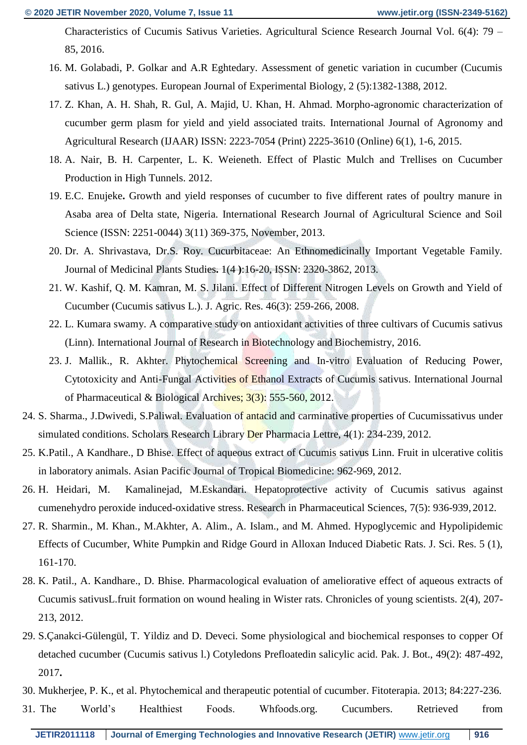Characteristics of Cucumis Sativus Varieties. Agricultural Science Research Journal Vol. 6(4): 79 – 85, 2016.

- 16. M. Golabadi, P. Golkar and A.R Eghtedary. Assessment of genetic variation in cucumber (Cucumis sativus L.) genotypes. European Journal of Experimental Biology, 2 (5):1382-1388, 2012.
- 17. Z. Khan, A. H. Shah, R. Gul, A. Majid, U. Khan, H. Ahmad. Morpho-agronomic characterization of cucumber germ plasm for yield and yield associated traits. International Journal of Agronomy and Agricultural Research (IJAAR) ISSN: 2223-7054 (Print) 2225-3610 (Online) 6(1), 1-6, 2015.
- 18. A. Nair, B. H. Carpenter, L. K. Weieneth. Effect of Plastic Mulch and Trellises on Cucumber Production in High Tunnels. 2012.
- 19. E.C. Enujeke**.** Growth and yield responses of cucumber to five different rates of poultry manure in Asaba area of Delta state, Nigeria. International Research Journal of Agricultural Science and Soil Science (ISSN: 2251-0044) 3(11) 369-375, November, 2013.
- 20. Dr. A. Shrivastava, Dr.S. Roy. Cucurbitaceae: An Ethnomedicinally Important Vegetable Family. Journal of Medicinal Plants Studies**.** 1(4 **)**:16-20, ISSN: 2320-3862, 2013.
- 21. W. Kashif, Q. M. Kamran, M. S. Jilani. Effect of Different Nitrogen Levels on Growth and Yield of Cucumber (Cucumis sativus L.). J. Agric. Res. 46(3): 259-266, 2008.
- 22. L. Kumara swamy. A comparative study on antioxidant activities of three cultivars of Cucumis sativus (Linn). International Journal of Research in Biotechnology and Biochemistry, 2016.
- 23. J. Mallik., R. Akhter. Phytochemical Screening and In-vitro Evaluation of Reducing Power, Cytotoxicity and Anti-Fungal Activities of Ethanol Extracts of Cucumis sativus. International Journal of Pharmaceutical & Biological Archives; 3(3): 555-560, 2012.
- 24. S. Sharma., J.Dwivedi, S.Paliwal. Evaluation of antacid and carminative properties of Cucumissativus under simulated conditions. Scholars Research Library Der Pharmacia Lettre, 4(1): 234-239, 2012.
- 25. K.Patil., A Kandhare., D Bhise. Effect of aqueous extract of Cucumis sativus Linn. Fruit in ulcerative colitis in laboratory animals. Asian Pacific Journal of Tropical Biomedicine: 962-969, 2012.
- 26. H. Heidari, M. Kamalinejad, M.Eskandari. Hepatoprotective activity of Cucumis sativus against cumenehydro peroxide induced-oxidative stress. Research in Pharmaceutical Sciences, 7(5): 936-939, 2012.
- 27. R. Sharmin., M. Khan., M.Akhter, A. Alim., A. Islam., and M. Ahmed. Hypoglycemic and Hypolipidemic Effects of Cucumber, White Pumpkin and Ridge Gourd in Alloxan Induced Diabetic Rats. J. Sci. Res. 5 (1), 161-170.
- 28. K. Patil., A. Kandhare., D. Bhise. Pharmacological evaluation of ameliorative effect of aqueous extracts of Cucumis sativusL.fruit formation on wound healing in Wister rats. Chronicles of young scientists. 2(4), 207- 213, 2012.
- 29. S.Çanakci-Gülengül, T. Yildiz and D. Deveci. Some physiological and biochemical responses to copper Of detached cucumber (Cucumis sativus l.) Cotyledons Prefloatedin salicylic acid. Pak. J. Bot., 49(2): 487-492, 2017**.**
- 30. Mukherjee, P. K., et al. Phytochemical and therapeutic potential of cucumber. Fitoterapia. 2013; 84:227-236.
- 31. The World's Healthiest Foods. Whfoods.org. Cucumbers. Retrieved from